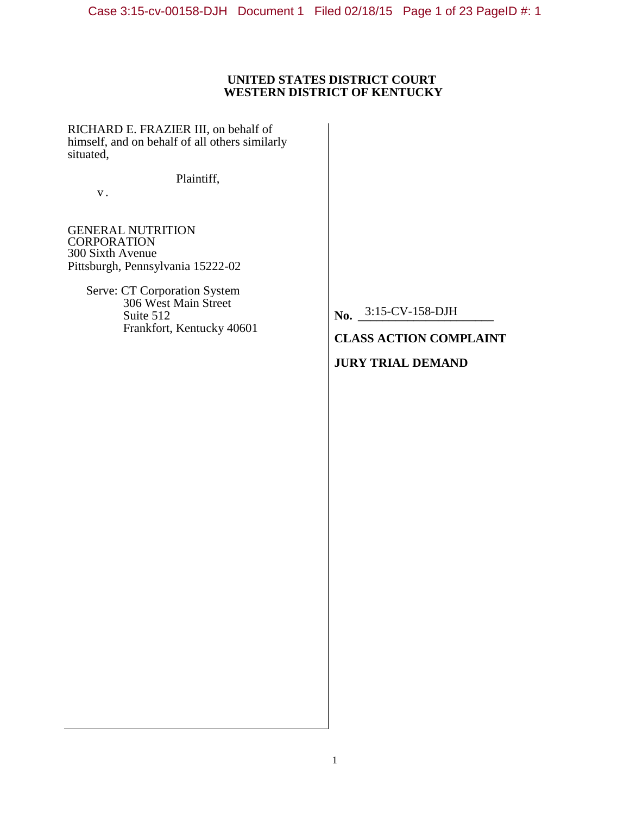## **UNITED STATES DISTRICT COURT WESTERN DISTRICT OF KENTUCKY**

RICHARD E. FRAZIER III, on behalf of himself, and on behalf of all others similarly situated,

Plaintiff,

 ${\bf v}$  .

GENERAL NUTRITION CORPORATION 300 Sixth Avenue Pittsburgh, Pennsylvania 15222-02

> Serve: CT Corporation System 306 West Main Street Suite 512 Frankfort, Kentucky 40601

**No.** 3:15-CV-158-DJH

**CLASS ACTION COMPLAINT** 

**JURY TRIAL DEMAND**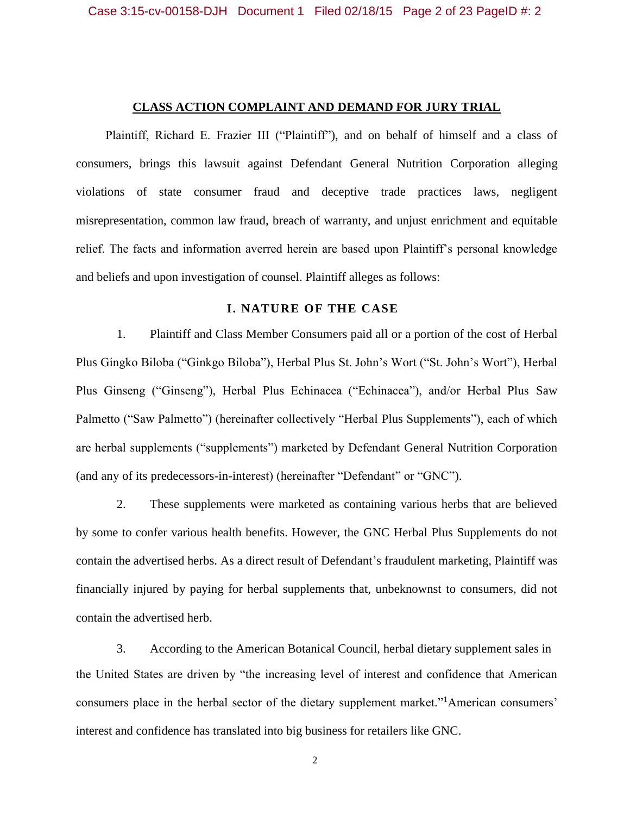#### **CLASS ACTION COMPLAINT AND DEMAND FOR JURY TRIAL**

Plaintiff, Richard E. Frazier III ("Plaintiff"), and on behalf of himself and a class of consumers, brings this lawsuit against Defendant General Nutrition Corporation alleging violations of state consumer fraud and deceptive trade practices laws, negligent misrepresentation, common law fraud, breach of warranty, and unjust enrichment and equitable relief. The facts and information averred herein are based upon Plaintiff's personal knowledge and beliefs and upon investigation of counsel. Plaintiff alleges as follows:

## **I. NATURE OF THE CASE**

1. Plaintiff and Class Member Consumers paid all or a portion of the cost of Herbal Plus Gingko Biloba ("Ginkgo Biloba"), Herbal Plus St. John's Wort ("St. John's Wort"), Herbal Plus Ginseng ("Ginseng"), Herbal Plus Echinacea ("Echinacea"), and/or Herbal Plus Saw Palmetto ("Saw Palmetto") (hereinafter collectively "Herbal Plus Supplements"), each of which are herbal supplements ("supplements") marketed by Defendant General Nutrition Corporation (and any of its predecessors-in-interest) (hereinafter "Defendant" or "GNC").

2. These supplements were marketed as containing various herbs that are believed by some to confer various health benefits. However, the GNC Herbal Plus Supplements do not contain the advertised herbs. As a direct result of Defendant's fraudulent marketing, Plaintiff was financially injured by paying for herbal supplements that, unbeknownst to consumers, did not contain the advertised herb.

3. According to the American Botanical Council, herbal dietary supplement sales in the United States are driven by "the increasing level of interest and confidence that American consumers place in the herbal sector of the dietary supplement market."<sup>1</sup>American consumers' interest and confidence has translated into big business for retailers like GNC.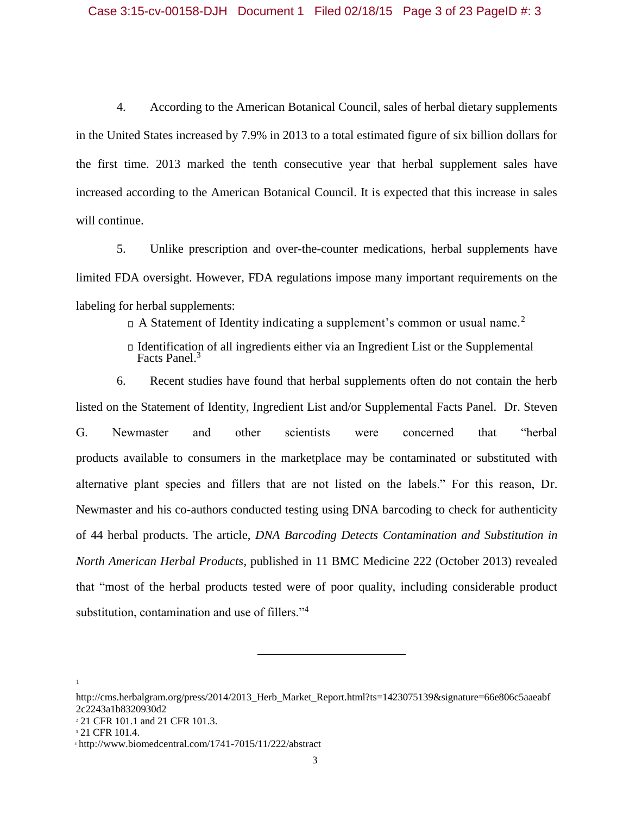4. According to the American Botanical Council, sales of herbal dietary supplements in the United States increased by 7.9% in 2013 to a total estimated figure of six billion dollars for the first time. 2013 marked the tenth consecutive year that herbal supplement sales have increased according to the American Botanical Council. It is expected that this increase in sales will continue.

5. Unlike prescription and over-the-counter medications, herbal supplements have limited FDA oversight. However, FDA regulations impose many important requirements on the labeling for herbal supplements:

 $\Box$  A Statement of Identity indicating a supplement's common or usual name.<sup>2</sup>

Identification of all ingredients either via an Ingredient List or the Supplemental Facts Panel.<sup>3</sup>

6. Recent studies have found that herbal supplements often do not contain the herb listed on the Statement of Identity, Ingredient List and/or Supplemental Facts Panel. Dr. Steven G. Newmaster and other scientists were concerned that "herbal products available to consumers in the marketplace may be contaminated or substituted with alternative plant species and fillers that are not listed on the labels." For this reason, Dr. Newmaster and his co-authors conducted testing using DNA barcoding to check for authenticity of 44 herbal products. The article, *DNA Barcoding Detects Contamination and Substitution in North American Herbal Products*, published in 11 BMC Medicine 222 (October 2013) revealed that "most of the herbal products tested were of poor quality, including considerable product substitution, contamination and use of fillers."<sup>4</sup>

http://cms.herbalgram.org/press/2014/2013 Herb\_Market\_Report.html?ts=1423075139&signature=66e806c5aaeabf 2c2243a1b8320930d2

<sup>2</sup> 21 CFR 101.1 and 21 CFR 101.3.

<sup>3</sup> 21 CFR 101.4.

<sup>4</sup> http://www.biomedcentral.com/1741-7015/11/222/abstract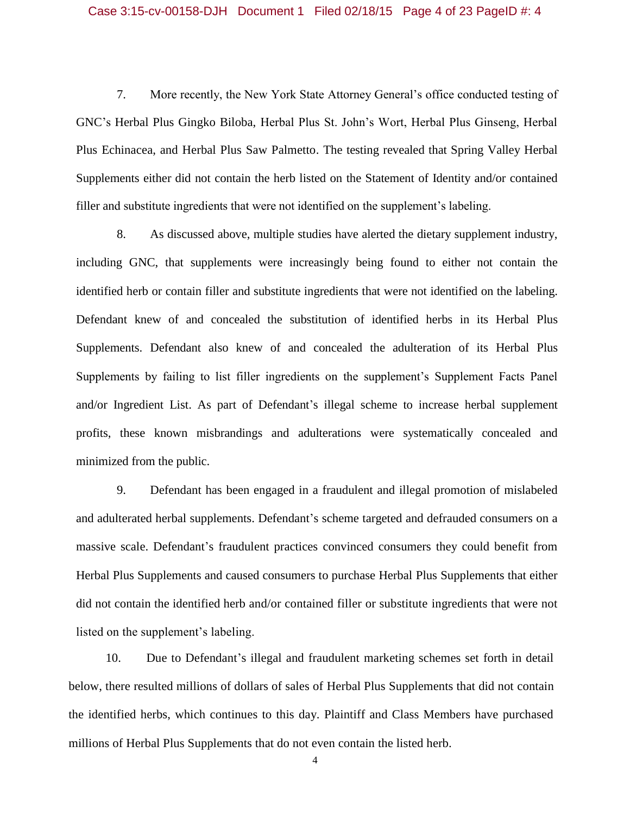#### Case 3:15-cv-00158-DJH Document 1 Filed 02/18/15 Page 4 of 23 PageID #: 4

7. More recently, the New York State Attorney General's office conducted testing of GNC's Herbal Plus Gingko Biloba, Herbal Plus St. John's Wort, Herbal Plus Ginseng, Herbal Plus Echinacea, and Herbal Plus Saw Palmetto. The testing revealed that Spring Valley Herbal Supplements either did not contain the herb listed on the Statement of Identity and/or contained filler and substitute ingredients that were not identified on the supplement's labeling.

8. As discussed above, multiple studies have alerted the dietary supplement industry, including GNC, that supplements were increasingly being found to either not contain the identified herb or contain filler and substitute ingredients that were not identified on the labeling. Defendant knew of and concealed the substitution of identified herbs in its Herbal Plus Supplements. Defendant also knew of and concealed the adulteration of its Herbal Plus Supplements by failing to list filler ingredients on the supplement's Supplement Facts Panel and/or Ingredient List. As part of Defendant's illegal scheme to increase herbal supplement profits, these known misbrandings and adulterations were systematically concealed and minimized from the public.

9. Defendant has been engaged in a fraudulent and illegal promotion of mislabeled and adulterated herbal supplements. Defendant's scheme targeted and defrauded consumers on a massive scale. Defendant's fraudulent practices convinced consumers they could benefit from Herbal Plus Supplements and caused consumers to purchase Herbal Plus Supplements that either did not contain the identified herb and/or contained filler or substitute ingredients that were not listed on the supplement's labeling.

10. Due to Defendant's illegal and fraudulent marketing schemes set forth in detail below, there resulted millions of dollars of sales of Herbal Plus Supplements that did not contain the identified herbs, which continues to this day. Plaintiff and Class Members have purchased millions of Herbal Plus Supplements that do not even contain the listed herb.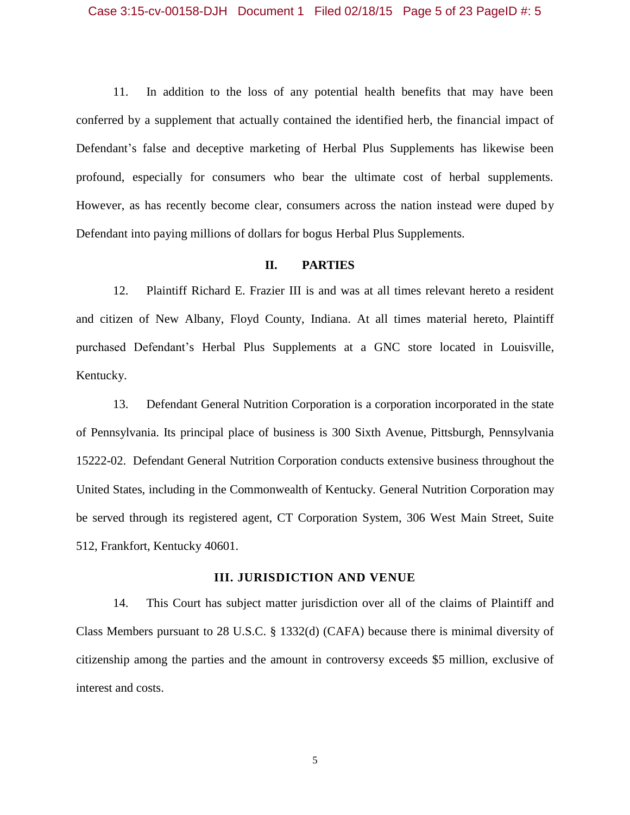11. In addition to the loss of any potential health benefits that may have been conferred by a supplement that actually contained the identified herb, the financial impact of Defendant's false and deceptive marketing of Herbal Plus Supplements has likewise been profound, especially for consumers who bear the ultimate cost of herbal supplements. However, as has recently become clear, consumers across the nation instead were duped by Defendant into paying millions of dollars for bogus Herbal Plus Supplements.

#### **II. PARTIES**

12. Plaintiff Richard E. Frazier III is and was at all times relevant hereto a resident and citizen of New Albany, Floyd County, Indiana. At all times material hereto, Plaintiff purchased Defendant's Herbal Plus Supplements at a GNC store located in Louisville, Kentucky.

13. Defendant General Nutrition Corporation is a corporation incorporated in the state of Pennsylvania. Its principal place of business is 300 Sixth Avenue, Pittsburgh, Pennsylvania 15222-02. Defendant General Nutrition Corporation conducts extensive business throughout the United States, including in the Commonwealth of Kentucky. General Nutrition Corporation may be served through its registered agent, CT Corporation System, 306 West Main Street, Suite 512, Frankfort, Kentucky 40601.

#### **III. JURISDICTION AND VENUE**

14. This Court has subject matter jurisdiction over all of the claims of Plaintiff and Class Members pursuant to 28 U.S.C. § 1332(d) (CAFA) because there is minimal diversity of citizenship among the parties and the amount in controversy exceeds \$5 million, exclusive of interest and costs.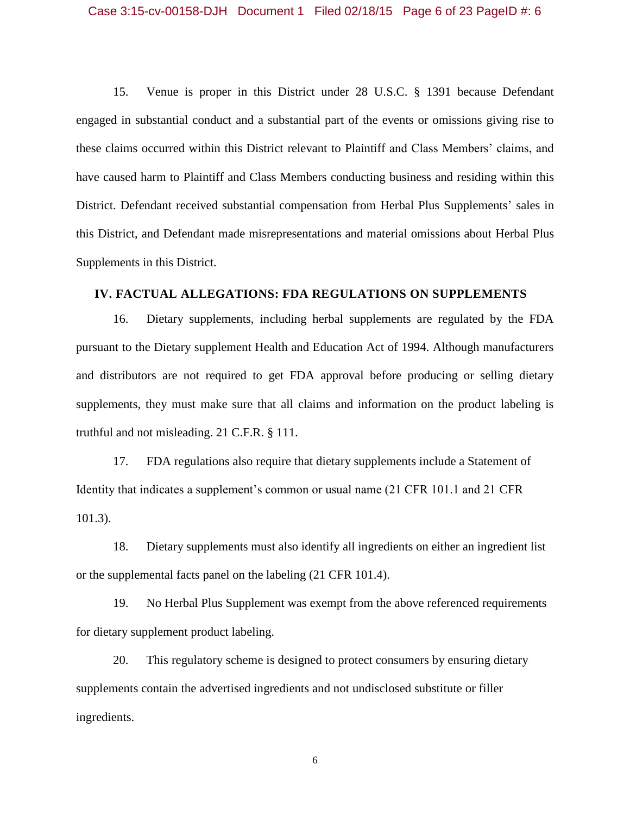### Case 3:15-cv-00158-DJH Document 1 Filed 02/18/15 Page 6 of 23 PageID #: 6

15. Venue is proper in this District under 28 U.S.C. § 1391 because Defendant engaged in substantial conduct and a substantial part of the events or omissions giving rise to these claims occurred within this District relevant to Plaintiff and Class Members' claims, and have caused harm to Plaintiff and Class Members conducting business and residing within this District. Defendant received substantial compensation from Herbal Plus Supplements' sales in this District, and Defendant made misrepresentations and material omissions about Herbal Plus Supplements in this District.

#### **IV. FACTUAL ALLEGATIONS: FDA REGULATIONS ON SUPPLEMENTS**

16. Dietary supplements, including herbal supplements are regulated by the FDA pursuant to the Dietary supplement Health and Education Act of 1994. Although manufacturers and distributors are not required to get FDA approval before producing or selling dietary supplements, they must make sure that all claims and information on the product labeling is truthful and not misleading. 21 C.F.R. § 111.

17. FDA regulations also require that dietary supplements include a Statement of Identity that indicates a supplement's common or usual name (21 CFR 101.1 and 21 CFR 101.3).

18. Dietary supplements must also identify all ingredients on either an ingredient list or the supplemental facts panel on the labeling (21 CFR 101.4).

19. No Herbal Plus Supplement was exempt from the above referenced requirements for dietary supplement product labeling.

20. This regulatory scheme is designed to protect consumers by ensuring dietary supplements contain the advertised ingredients and not undisclosed substitute or filler ingredients.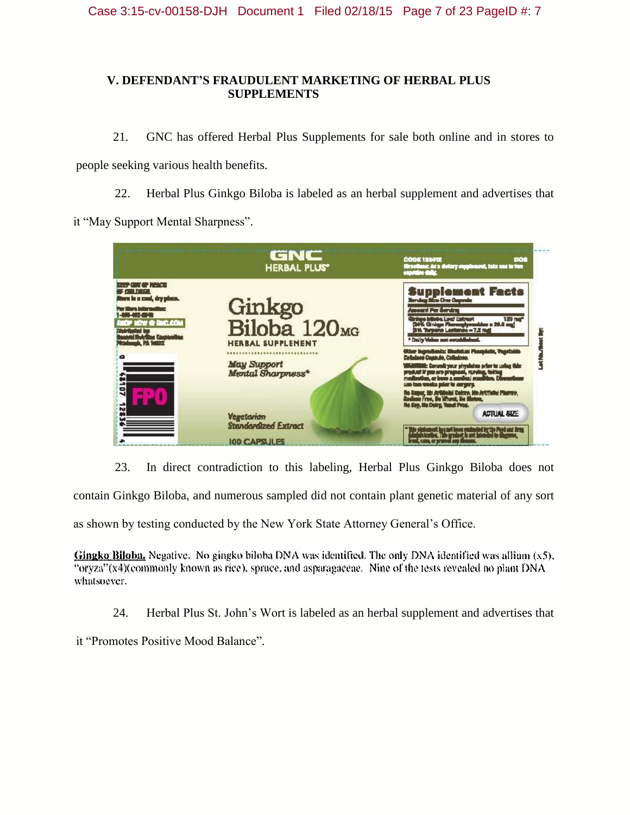## **V. DEFENDANT'S FRAUDULENT MARKETING OF HERBAL PLUS SUPPLEMENTS**

21. GNC has offered Herbal Plus Supplements for sale both online and in stores to

people seeking various health benefits.

22. Herbal Plus Ginkgo Biloba is labeled as an herbal supplement and advertises that

it "May Support Mental Sharpness".



23. In direct contradiction to this labeling, Herbal Plus Ginkgo Biloba does not

contain Ginkgo Biloba, and numerous sampled did not contain plant genetic material of any sort

as shown by testing conducted by the New York State Attorney General's Office.

Gingko Biloba, Negative. No gingko biloba DNA was identified. The only DNA identified was allium  $(x5)$ ,  $\frac{1}{2}$   $\frac{1}{2}$   $\frac{1}{2}$   $\frac{1}{2}$   $\frac{1}{2}$   $\frac{1}{2}$   $\frac{1}{2}$   $\frac{1}{2}$   $\frac{1}{2}$   $\frac{1}{2}$   $\frac{1}{2}$   $\frac{1}{2}$   $\frac{1}{2}$   $\frac{1}{2}$   $\frac{1}{2}$   $\frac{1}{2}$   $\frac{1}{2}$   $\frac{1}{2}$   $\frac{1}{2}$   $\frac{1}{2}$   $\frac{1}{2}$   $\frac{1}{2}$  whatsoever.

24. Herbal Plus St. John's Wort is labeled as an herbal supplement and advertises that

it "Promotes Positive Mood Balance".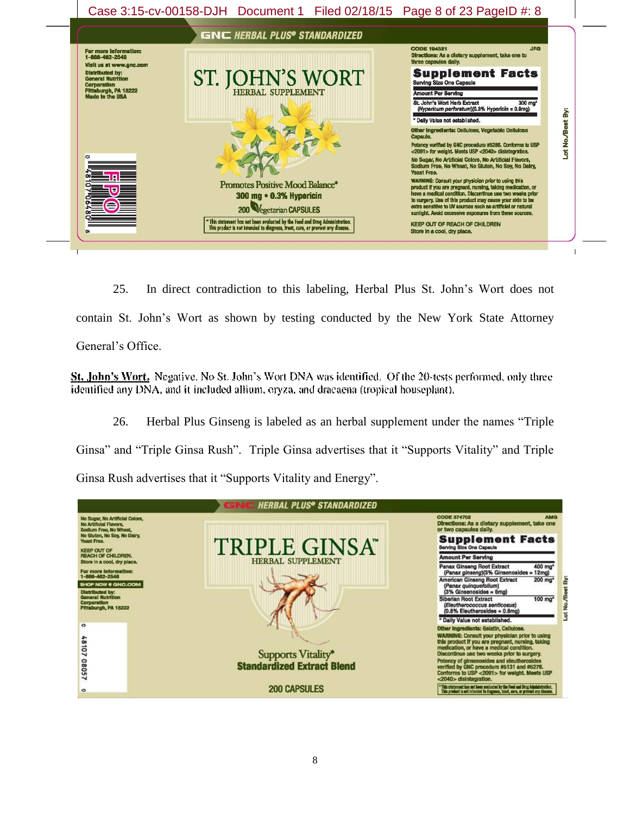

25. In direct contradiction to this labeling, Herbal Plus St. John's Wort does not contain St. John's Wort as shown by testing conducted by the New York State Attorney General's Office.

St. John's Wort. Negative. No St. John's Wort DNA was identified. Of the 20-tests performed, only three identified any DNA, and it included allium, oryza, and dracaena (tropical houseplant).

26. Herbal Plus Ginseng is labeled as an herbal supplement under the names "Triple Ginsa" and "Triple Ginsa Rush". Triple Ginsa advertises that it "Supports Vitality" and Triple Ginsa Rush advertises that it "Supports Vitality and Energy".

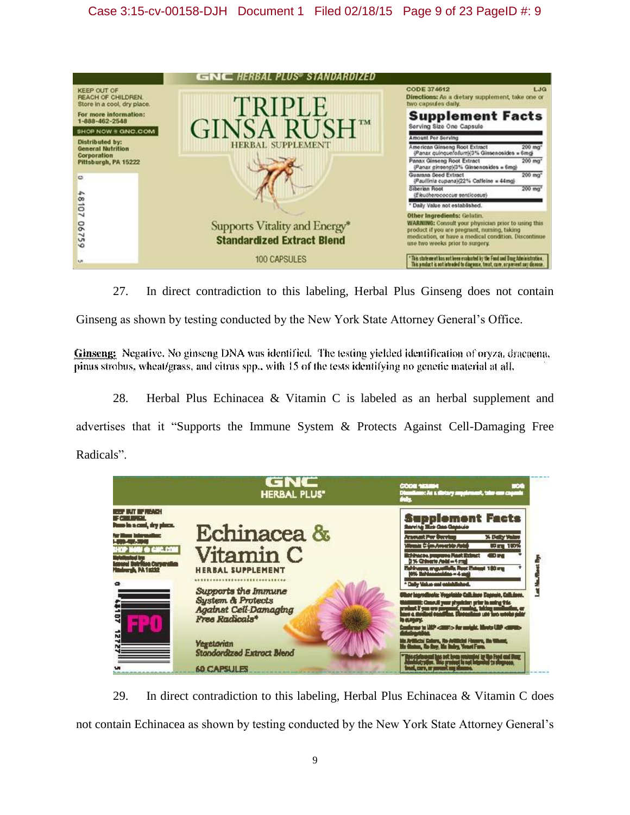

27. In direct contradiction to this labeling, Herbal Plus Ginseng does not contain

Ginseng as shown by testing conducted by the New York State Attorney General's Office.

Ginseng: Negative. No ginseng DNA was identified. The testing yielded identification of oryza, dracaena, pinus strobus, wheat/grass, and citrus spp., with 15 of the tests identifying no genetic material at all.

28. Herbal Plus Echinacea & Vitamin C is labeled as an herbal supplement and

advertises that it "Supports the Immune System & Protects Against Cell-Damaging Free Radicals".



29. In direct contradiction to this labeling, Herbal Plus Echinacea & Vitamin C does not contain Echinacea as shown by testing conducted by the New York State Attorney General's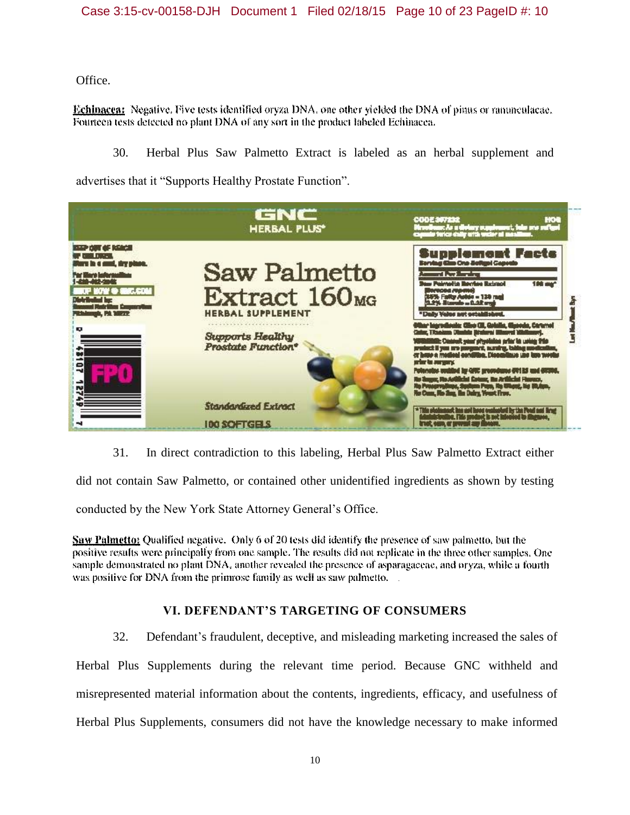Office.

**Echinacea:** Negative. Five tests identified oryza DNA, one other yielded the DNA of pinus or ranunculacae, Fourteen tests detected no plant DNA of any sort in the product labeled Echinacea.

30. Herbal Plus Saw Palmetto Extract is labeled as an herbal supplement and

advertises that it "Supports Healthy Prostate Function".



31. In direct contradiction to this labeling, Herbal Plus Saw Palmetto Extract either

did not contain Saw Palmetto, or contained other unidentified ingredients as shown by testing

conducted by the New York State Attorney General's Office.

Saw Palmetto: Qualified negative. Only 6 of 20 tests did identify the presence of saw palmetto, but the positive results were principally from one sample. The results did not replicate in the three other samples. One sample demonstrated no plant DNA, another revealed the presence of asparagaceae, and oryza, while a fourth was positive for DNA from the primrose family as well as saw palmetto.

# **VI. DEFENDANT'S TARGETING OF CONSUMERS**

32. Defendant's fraudulent, deceptive, and misleading marketing increased the sales of Herbal Plus Supplements during the relevant time period. Because GNC withheld and misrepresented material information about the contents, ingredients, efficacy, and usefulness of Herbal Plus Supplements, consumers did not have the knowledge necessary to make informed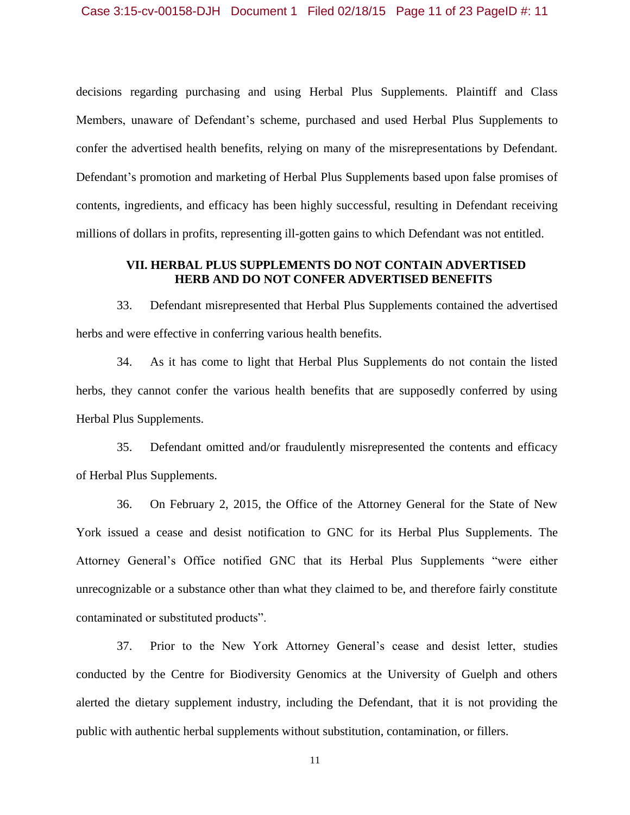decisions regarding purchasing and using Herbal Plus Supplements. Plaintiff and Class Members, unaware of Defendant's scheme, purchased and used Herbal Plus Supplements to confer the advertised health benefits, relying on many of the misrepresentations by Defendant. Defendant's promotion and marketing of Herbal Plus Supplements based upon false promises of contents, ingredients, and efficacy has been highly successful, resulting in Defendant receiving millions of dollars in profits, representing ill-gotten gains to which Defendant was not entitled.

#### **VII. HERBAL PLUS SUPPLEMENTS DO NOT CONTAIN ADVERTISED HERB AND DO NOT CONFER ADVERTISED BENEFITS**

33. Defendant misrepresented that Herbal Plus Supplements contained the advertised herbs and were effective in conferring various health benefits.

34. As it has come to light that Herbal Plus Supplements do not contain the listed herbs, they cannot confer the various health benefits that are supposedly conferred by using Herbal Plus Supplements.

35. Defendant omitted and/or fraudulently misrepresented the contents and efficacy of Herbal Plus Supplements.

36. On February 2, 2015, the Office of the Attorney General for the State of New York issued a cease and desist notification to GNC for its Herbal Plus Supplements. The Attorney General's Office notified GNC that its Herbal Plus Supplements "were either unrecognizable or a substance other than what they claimed to be, and therefore fairly constitute contaminated or substituted products".

37. Prior to the New York Attorney General's cease and desist letter, studies conducted by the Centre for Biodiversity Genomics at the University of Guelph and others alerted the dietary supplement industry, including the Defendant, that it is not providing the public with authentic herbal supplements without substitution, contamination, or fillers.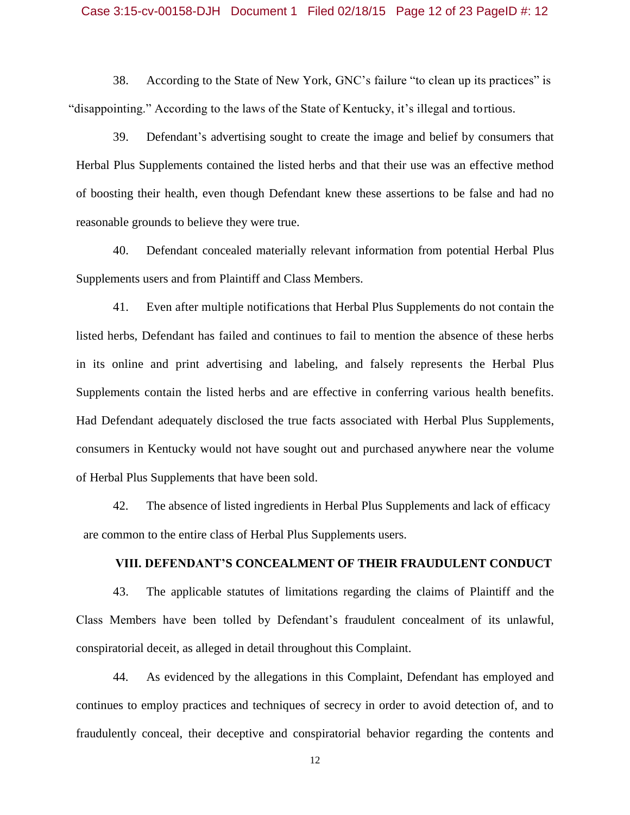#### Case 3:15-cv-00158-DJH Document 1 Filed 02/18/15 Page 12 of 23 PageID #: 12

38. According to the State of New York, GNC's failure "to clean up its practices" is "disappointing." According to the laws of the State of Kentucky, it's illegal and tortious.

39. Defendant's advertising sought to create the image and belief by consumers that Herbal Plus Supplements contained the listed herbs and that their use was an effective method of boosting their health, even though Defendant knew these assertions to be false and had no reasonable grounds to believe they were true.

40. Defendant concealed materially relevant information from potential Herbal Plus Supplements users and from Plaintiff and Class Members.

41. Even after multiple notifications that Herbal Plus Supplements do not contain the listed herbs, Defendant has failed and continues to fail to mention the absence of these herbs in its online and print advertising and labeling, and falsely represents the Herbal Plus Supplements contain the listed herbs and are effective in conferring various health benefits. Had Defendant adequately disclosed the true facts associated with Herbal Plus Supplements, consumers in Kentucky would not have sought out and purchased anywhere near the volume of Herbal Plus Supplements that have been sold.

42. The absence of listed ingredients in Herbal Plus Supplements and lack of efficacy are common to the entire class of Herbal Plus Supplements users.

## **VIII. DEFENDANT'S CONCEALMENT OF THEIR FRAUDULENT CONDUCT**

43. The applicable statutes of limitations regarding the claims of Plaintiff and the Class Members have been tolled by Defendant's fraudulent concealment of its unlawful, conspiratorial deceit, as alleged in detail throughout this Complaint.

44. As evidenced by the allegations in this Complaint, Defendant has employed and continues to employ practices and techniques of secrecy in order to avoid detection of, and to fraudulently conceal, their deceptive and conspiratorial behavior regarding the contents and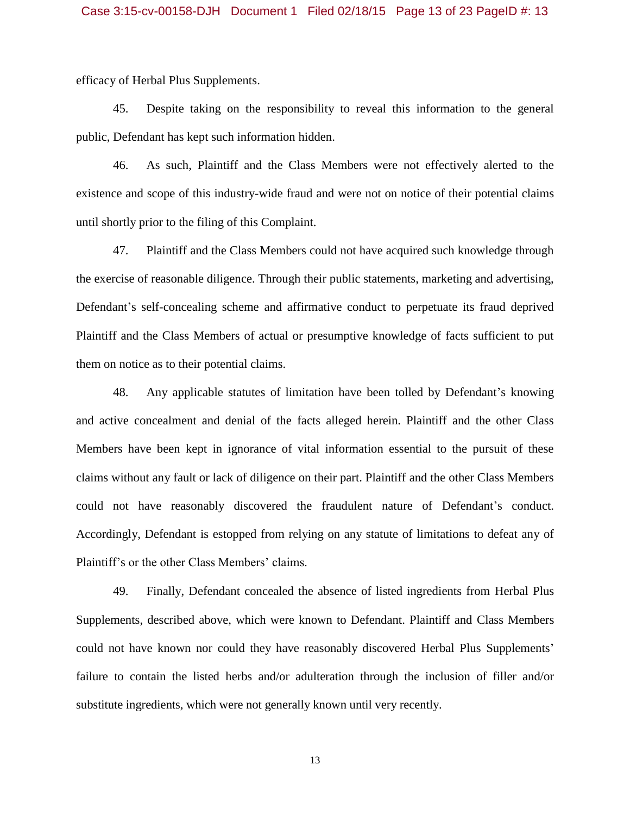efficacy of Herbal Plus Supplements.

45. Despite taking on the responsibility to reveal this information to the general public, Defendant has kept such information hidden.

46. As such, Plaintiff and the Class Members were not effectively alerted to the existence and scope of this industry-wide fraud and were not on notice of their potential claims until shortly prior to the filing of this Complaint.

47. Plaintiff and the Class Members could not have acquired such knowledge through the exercise of reasonable diligence. Through their public statements, marketing and advertising, Defendant's self-concealing scheme and affirmative conduct to perpetuate its fraud deprived Plaintiff and the Class Members of actual or presumptive knowledge of facts sufficient to put them on notice as to their potential claims.

48. Any applicable statutes of limitation have been tolled by Defendant's knowing and active concealment and denial of the facts alleged herein. Plaintiff and the other Class Members have been kept in ignorance of vital information essential to the pursuit of these claims without any fault or lack of diligence on their part. Plaintiff and the other Class Members could not have reasonably discovered the fraudulent nature of Defendant's conduct. Accordingly, Defendant is estopped from relying on any statute of limitations to defeat any of Plaintiff's or the other Class Members' claims.

49. Finally, Defendant concealed the absence of listed ingredients from Herbal Plus Supplements, described above, which were known to Defendant. Plaintiff and Class Members could not have known nor could they have reasonably discovered Herbal Plus Supplements' failure to contain the listed herbs and/or adulteration through the inclusion of filler and/or substitute ingredients, which were not generally known until very recently.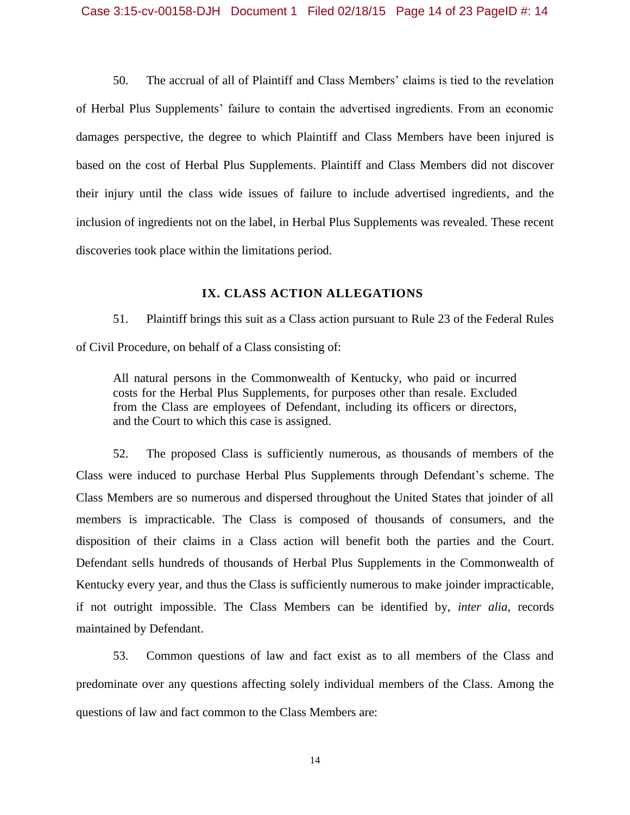50. The accrual of all of Plaintiff and Class Members' claims is tied to the revelation of Herbal Plus Supplements' failure to contain the advertised ingredients. From an economic damages perspective, the degree to which Plaintiff and Class Members have been injured is based on the cost of Herbal Plus Supplements. Plaintiff and Class Members did not discover their injury until the class wide issues of failure to include advertised ingredients, and the inclusion of ingredients not on the label, in Herbal Plus Supplements was revealed. These recent discoveries took place within the limitations period.

#### **IX. CLASS ACTION ALLEGATIONS**

51. Plaintiff brings this suit as a Class action pursuant to Rule 23 of the Federal Rules of Civil Procedure, on behalf of a Class consisting of:

All natural persons in the Commonwealth of Kentucky, who paid or incurred costs for the Herbal Plus Supplements, for purposes other than resale. Excluded from the Class are employees of Defendant, including its officers or directors, and the Court to which this case is assigned.

52. The proposed Class is sufficiently numerous, as thousands of members of the Class were induced to purchase Herbal Plus Supplements through Defendant's scheme. The Class Members are so numerous and dispersed throughout the United States that joinder of all members is impracticable. The Class is composed of thousands of consumers, and the disposition of their claims in a Class action will benefit both the parties and the Court. Defendant sells hundreds of thousands of Herbal Plus Supplements in the Commonwealth of Kentucky every year, and thus the Class is sufficiently numerous to make joinder impracticable, if not outright impossible. The Class Members can be identified by, *inter alia,* records maintained by Defendant.

53. Common questions of law and fact exist as to all members of the Class and predominate over any questions affecting solely individual members of the Class. Among the questions of law and fact common to the Class Members are: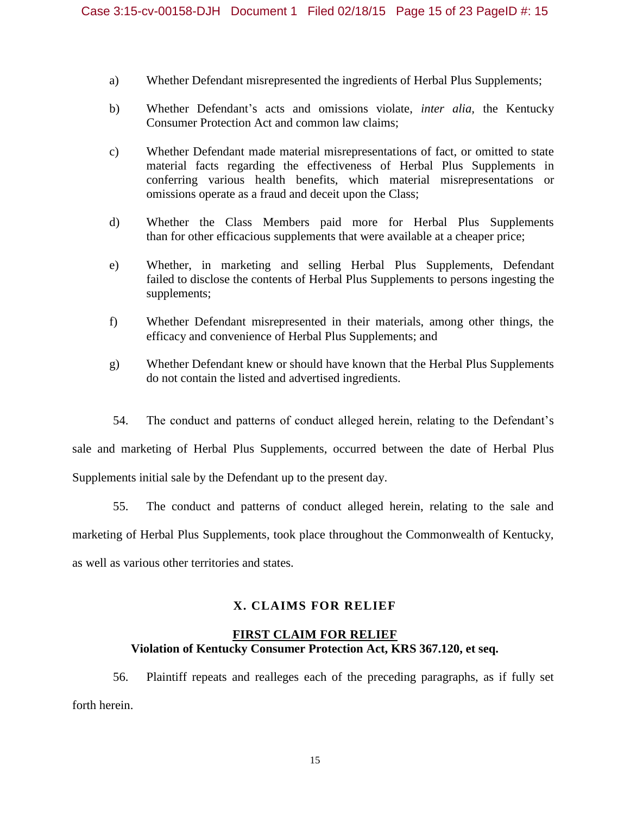- a) Whether Defendant misrepresented the ingredients of Herbal Plus Supplements;
- b) Whether Defendant's acts and omissions violate, *inter alia,* the Kentucky Consumer Protection Act and common law claims;
- c) Whether Defendant made material misrepresentations of fact, or omitted to state material facts regarding the effectiveness of Herbal Plus Supplements in conferring various health benefits, which material misrepresentations or omissions operate as a fraud and deceit upon the Class;
- d) Whether the Class Members paid more for Herbal Plus Supplements than for other efficacious supplements that were available at a cheaper price;
- e) Whether, in marketing and selling Herbal Plus Supplements, Defendant failed to disclose the contents of Herbal Plus Supplements to persons ingesting the supplements;
- f) Whether Defendant misrepresented in their materials, among other things, the efficacy and convenience of Herbal Plus Supplements; and
- g) Whether Defendant knew or should have known that the Herbal Plus Supplements do not contain the listed and advertised ingredients.
- 54. The conduct and patterns of conduct alleged herein, relating to the Defendant's

sale and marketing of Herbal Plus Supplements, occurred between the date of Herbal Plus Supplements initial sale by the Defendant up to the present day.

55. The conduct and patterns of conduct alleged herein, relating to the sale and marketing of Herbal Plus Supplements, took place throughout the Commonwealth of Kentucky, as well as various other territories and states.

# **X. CLAIMS FOR RELIEF**

## **FIRST CLAIM FOR RELIEF Violation of Kentucky Consumer Protection Act, KRS 367.120, et seq.**

56. Plaintiff repeats and realleges each of the preceding paragraphs, as if fully set forth herein.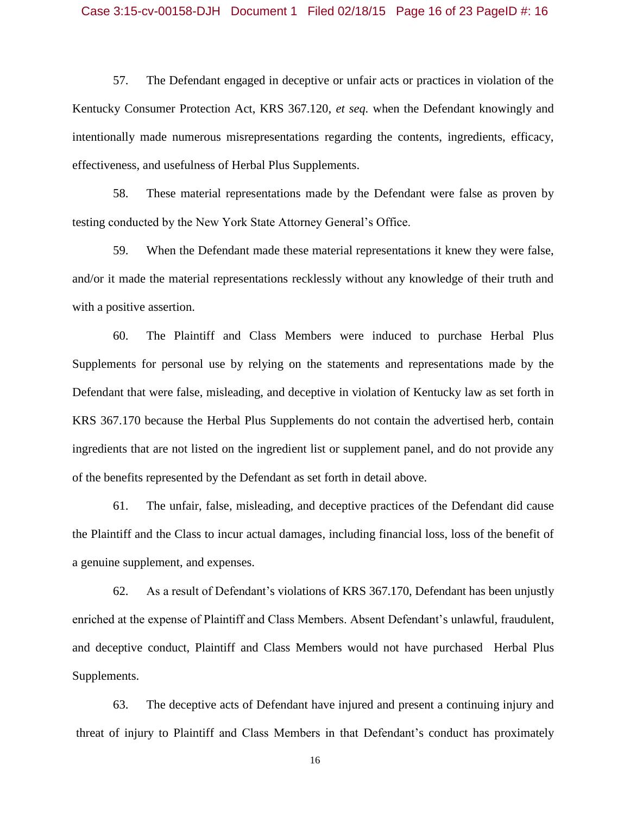### Case 3:15-cv-00158-DJH Document 1 Filed 02/18/15 Page 16 of 23 PageID #: 16

57. The Defendant engaged in deceptive or unfair acts or practices in violation of the Kentucky Consumer Protection Act, KRS 367.120, *et seq.* when the Defendant knowingly and intentionally made numerous misrepresentations regarding the contents, ingredients, efficacy, effectiveness, and usefulness of Herbal Plus Supplements.

58. These material representations made by the Defendant were false as proven by testing conducted by the New York State Attorney General's Office.

59. When the Defendant made these material representations it knew they were false, and/or it made the material representations recklessly without any knowledge of their truth and with a positive assertion.

60. The Plaintiff and Class Members were induced to purchase Herbal Plus Supplements for personal use by relying on the statements and representations made by the Defendant that were false, misleading, and deceptive in violation of Kentucky law as set forth in KRS 367.170 because the Herbal Plus Supplements do not contain the advertised herb, contain ingredients that are not listed on the ingredient list or supplement panel, and do not provide any of the benefits represented by the Defendant as set forth in detail above.

61. The unfair, false, misleading, and deceptive practices of the Defendant did cause the Plaintiff and the Class to incur actual damages, including financial loss, loss of the benefit of a genuine supplement, and expenses.

62. As a result of Defendant's violations of KRS 367.170, Defendant has been unjustly enriched at the expense of Plaintiff and Class Members. Absent Defendant's unlawful, fraudulent, and deceptive conduct, Plaintiff and Class Members would not have purchased Herbal Plus Supplements.

63. The deceptive acts of Defendant have injured and present a continuing injury and threat of injury to Plaintiff and Class Members in that Defendant's conduct has proximately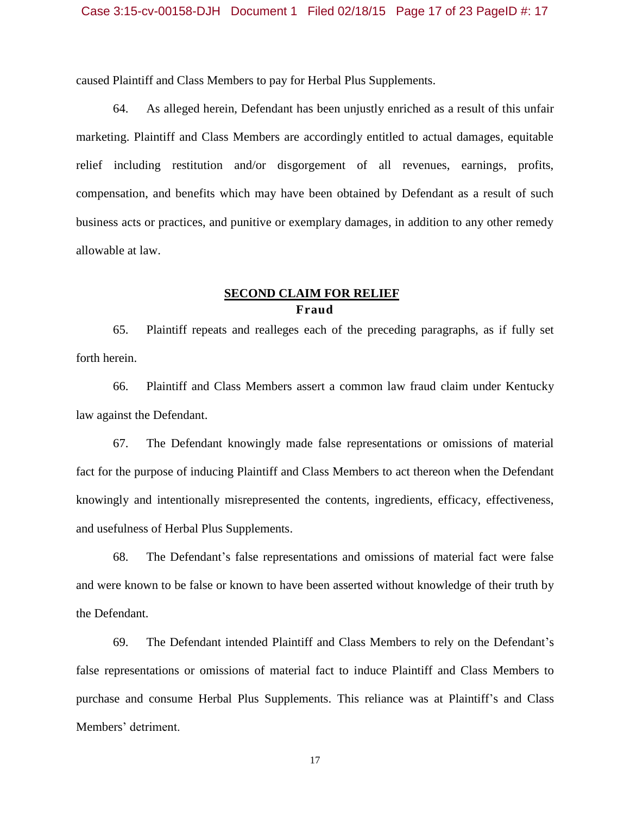caused Plaintiff and Class Members to pay for Herbal Plus Supplements.

64. As alleged herein, Defendant has been unjustly enriched as a result of this unfair marketing. Plaintiff and Class Members are accordingly entitled to actual damages, equitable relief including restitution and/or disgorgement of all revenues, earnings, profits, compensation, and benefits which may have been obtained by Defendant as a result of such business acts or practices, and punitive or exemplary damages, in addition to any other remedy allowable at law.

## **SECOND CLAIM FOR RELIEF Fraud**

65. Plaintiff repeats and realleges each of the preceding paragraphs, as if fully set forth herein.

66. Plaintiff and Class Members assert a common law fraud claim under Kentucky law against the Defendant.

67. The Defendant knowingly made false representations or omissions of material fact for the purpose of inducing Plaintiff and Class Members to act thereon when the Defendant knowingly and intentionally misrepresented the contents, ingredients, efficacy, effectiveness, and usefulness of Herbal Plus Supplements.

68. The Defendant's false representations and omissions of material fact were false and were known to be false or known to have been asserted without knowledge of their truth by the Defendant.

69. The Defendant intended Plaintiff and Class Members to rely on the Defendant's false representations or omissions of material fact to induce Plaintiff and Class Members to purchase and consume Herbal Plus Supplements. This reliance was at Plaintiff's and Class Members' detriment.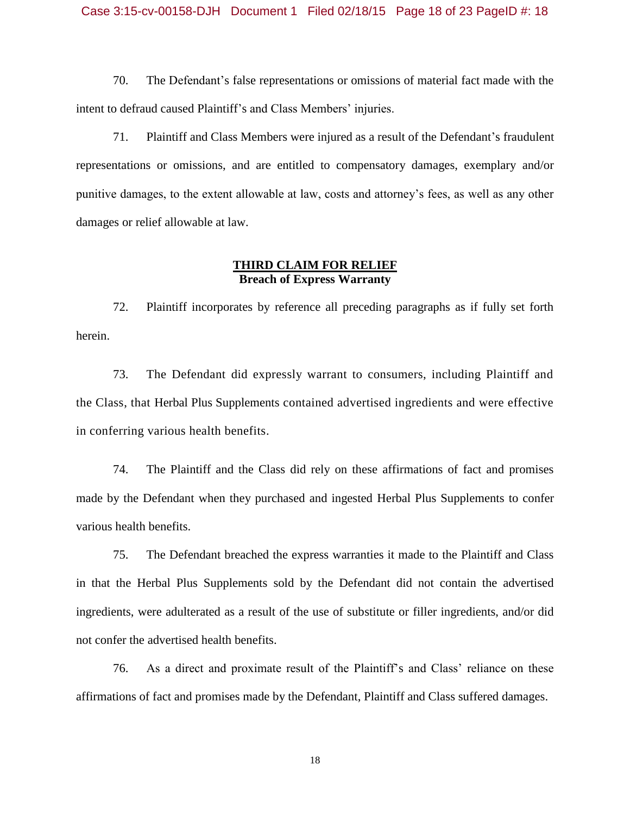70. The Defendant's false representations or omissions of material fact made with the intent to defraud caused Plaintiff's and Class Members' injuries.

71. Plaintiff and Class Members were injured as a result of the Defendant's fraudulent representations or omissions, and are entitled to compensatory damages, exemplary and/or punitive damages, to the extent allowable at law, costs and attorney's fees, as well as any other damages or relief allowable at law.

#### **THIRD CLAIM FOR RELIEF Breach of Express Warranty**

72. Plaintiff incorporates by reference all preceding paragraphs as if fully set forth herein.

73. The Defendant did expressly warrant to consumers, including Plaintiff and the Class, that Herbal Plus Supplements contained advertised ingredients and were effective in conferring various health benefits.

74. The Plaintiff and the Class did rely on these affirmations of fact and promises made by the Defendant when they purchased and ingested Herbal Plus Supplements to confer various health benefits.

75. The Defendant breached the express warranties it made to the Plaintiff and Class in that the Herbal Plus Supplements sold by the Defendant did not contain the advertised ingredients, were adulterated as a result of the use of substitute or filler ingredients, and/or did not confer the advertised health benefits.

76. As a direct and proximate result of the Plaintiff's and Class' reliance on these affirmations of fact and promises made by the Defendant, Plaintiff and Class suffered damages.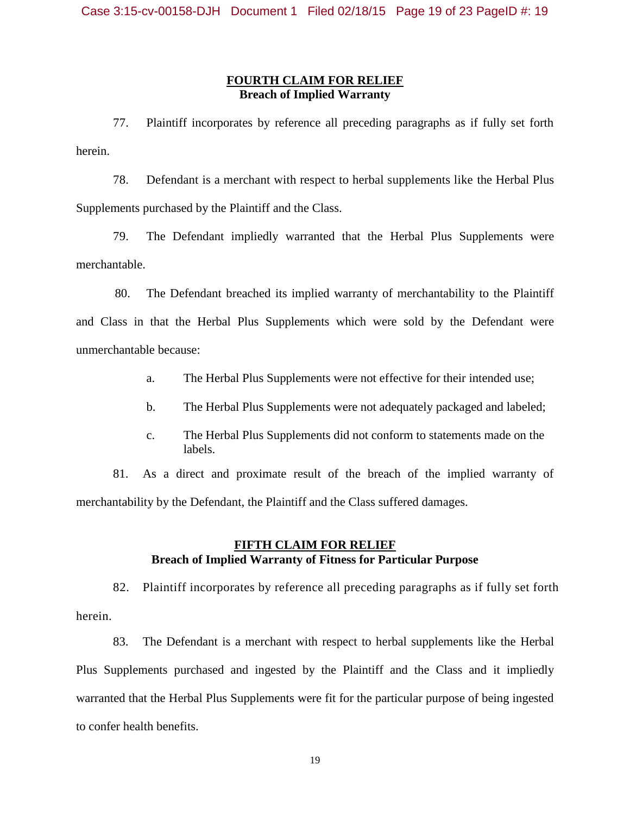## **FOURTH CLAIM FOR RELIEF Breach of Implied Warranty**

77. Plaintiff incorporates by reference all preceding paragraphs as if fully set forth herein.

78. Defendant is a merchant with respect to herbal supplements like the Herbal Plus Supplements purchased by the Plaintiff and the Class.

79. The Defendant impliedly warranted that the Herbal Plus Supplements were merchantable.

80. The Defendant breached its implied warranty of merchantability to the Plaintiff and Class in that the Herbal Plus Supplements which were sold by the Defendant were unmerchantable because:

- a. The Herbal Plus Supplements were not effective for their intended use;
- b. The Herbal Plus Supplements were not adequately packaged and labeled;
- c. The Herbal Plus Supplements did not conform to statements made on the labels.

81. As a direct and proximate result of the breach of the implied warranty of merchantability by the Defendant, the Plaintiff and the Class suffered damages.

## **FIFTH CLAIM FOR RELIEF Breach of Implied Warranty of Fitness for Particular Purpose**

82. Plaintiff incorporates by reference all preceding paragraphs as if fully set forth herein.

83. The Defendant is a merchant with respect to herbal supplements like the Herbal Plus Supplements purchased and ingested by the Plaintiff and the Class and it impliedly warranted that the Herbal Plus Supplements were fit for the particular purpose of being ingested to confer health benefits.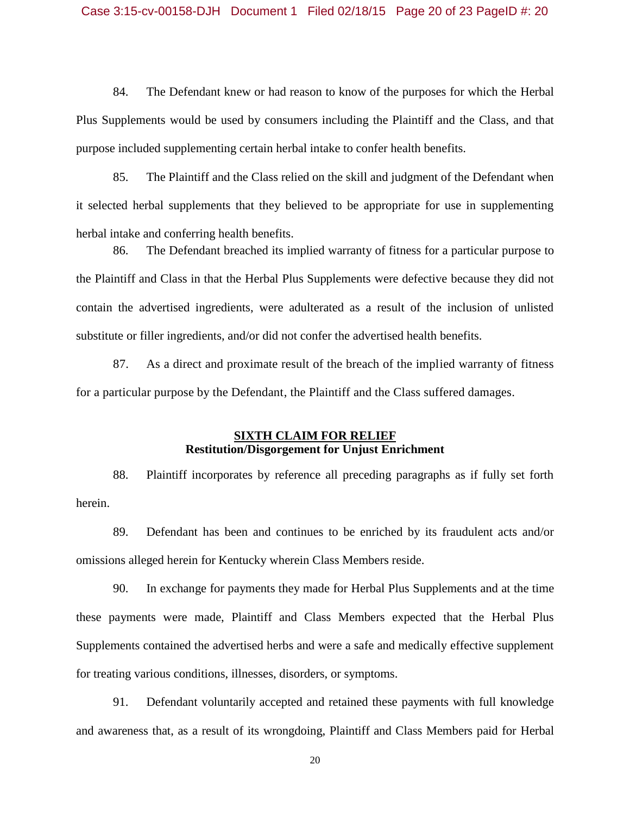### Case 3:15-cv-00158-DJH Document 1 Filed 02/18/15 Page 20 of 23 PageID #: 20

84. The Defendant knew or had reason to know of the purposes for which the Herbal Plus Supplements would be used by consumers including the Plaintiff and the Class, and that purpose included supplementing certain herbal intake to confer health benefits.

85. The Plaintiff and the Class relied on the skill and judgment of the Defendant when it selected herbal supplements that they believed to be appropriate for use in supplementing herbal intake and conferring health benefits.

86. The Defendant breached its implied warranty of fitness for a particular purpose to the Plaintiff and Class in that the Herbal Plus Supplements were defective because they did not contain the advertised ingredients, were adulterated as a result of the inclusion of unlisted substitute or filler ingredients, and/or did not confer the advertised health benefits.

87. As a direct and proximate result of the breach of the implied warranty of fitness for a particular purpose by the Defendant, the Plaintiff and the Class suffered damages.

## **SIXTH CLAIM FOR RELIEF Restitution/Disgorgement for Unjust Enrichment**

88. Plaintiff incorporates by reference all preceding paragraphs as if fully set forth herein.

89. Defendant has been and continues to be enriched by its fraudulent acts and/or omissions alleged herein for Kentucky wherein Class Members reside.

90. In exchange for payments they made for Herbal Plus Supplements and at the time these payments were made, Plaintiff and Class Members expected that the Herbal Plus Supplements contained the advertised herbs and were a safe and medically effective supplement for treating various conditions, illnesses, disorders, or symptoms.

91. Defendant voluntarily accepted and retained these payments with full knowledge and awareness that, as a result of its wrongdoing, Plaintiff and Class Members paid for Herbal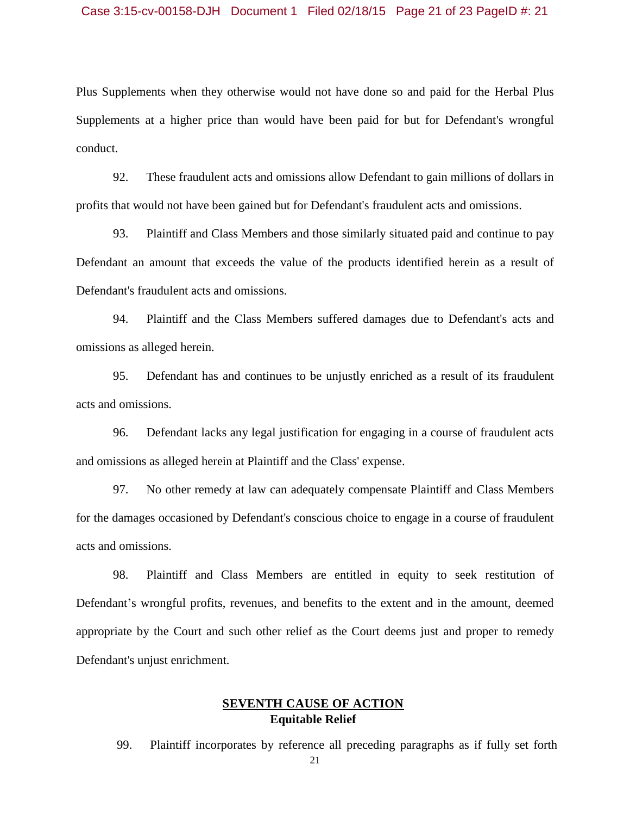### Case 3:15-cv-00158-DJH Document 1 Filed 02/18/15 Page 21 of 23 PageID #: 21

Plus Supplements when they otherwise would not have done so and paid for the Herbal Plus Supplements at a higher price than would have been paid for but for Defendant's wrongful conduct.

92. These fraudulent acts and omissions allow Defendant to gain millions of dollars in profits that would not have been gained but for Defendant's fraudulent acts and omissions.

93. Plaintiff and Class Members and those similarly situated paid and continue to pay Defendant an amount that exceeds the value of the products identified herein as a result of Defendant's fraudulent acts and omissions.

94. Plaintiff and the Class Members suffered damages due to Defendant's acts and omissions as alleged herein.

95. Defendant has and continues to be unjustly enriched as a result of its fraudulent acts and omissions.

96. Defendant lacks any legal justification for engaging in a course of fraudulent acts and omissions as alleged herein at Plaintiff and the Class' expense.

97. No other remedy at law can adequately compensate Plaintiff and Class Members for the damages occasioned by Defendant's conscious choice to engage in a course of fraudulent acts and omissions.

98. Plaintiff and Class Members are entitled in equity to seek restitution of Defendant's wrongful profits, revenues, and benefits to the extent and in the amount, deemed appropriate by the Court and such other relief as the Court deems just and proper to remedy Defendant's unjust enrichment.

# **SEVENTH CAUSE OF ACTION Equitable Relief**

99. Plaintiff incorporates by reference all preceding paragraphs as if fully set forth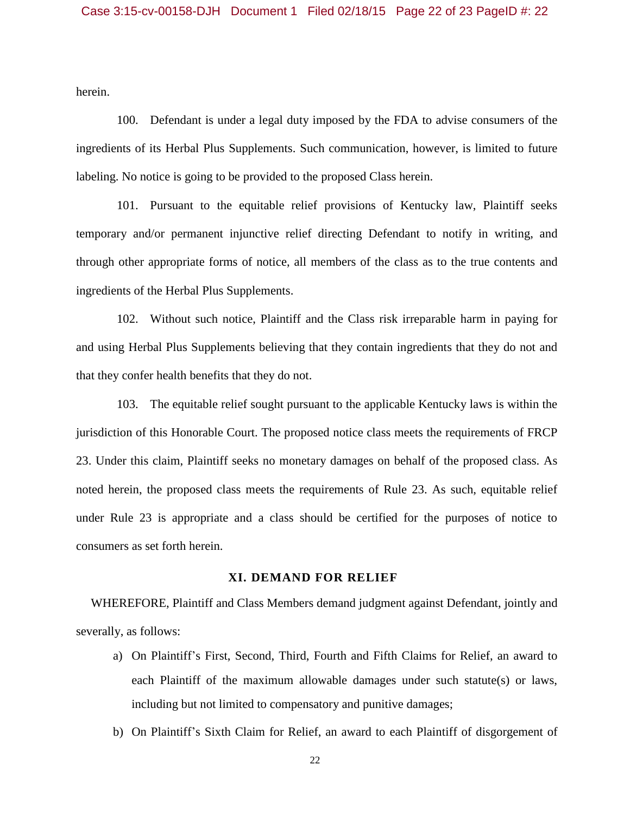herein.

100. Defendant is under a legal duty imposed by the FDA to advise consumers of the ingredients of its Herbal Plus Supplements. Such communication, however, is limited to future labeling. No notice is going to be provided to the proposed Class herein.

101. Pursuant to the equitable relief provisions of Kentucky law, Plaintiff seeks temporary and/or permanent injunctive relief directing Defendant to notify in writing, and through other appropriate forms of notice, all members of the class as to the true contents and ingredients of the Herbal Plus Supplements.

102. Without such notice, Plaintiff and the Class risk irreparable harm in paying for and using Herbal Plus Supplements believing that they contain ingredients that they do not and that they confer health benefits that they do not.

103. The equitable relief sought pursuant to the applicable Kentucky laws is within the jurisdiction of this Honorable Court. The proposed notice class meets the requirements of FRCP 23. Under this claim, Plaintiff seeks no monetary damages on behalf of the proposed class. As noted herein, the proposed class meets the requirements of Rule 23. As such, equitable relief under Rule 23 is appropriate and a class should be certified for the purposes of notice to consumers as set forth herein.

## **XI. DEMAND FOR RELIEF**

WHEREFORE, Plaintiff and Class Members demand judgment against Defendant, jointly and severally, as follows:

- a) On Plaintiff's First, Second, Third, Fourth and Fifth Claims for Relief, an award to each Plaintiff of the maximum allowable damages under such statute(s) or laws, including but not limited to compensatory and punitive damages;
- b) On Plaintiff's Sixth Claim for Relief, an award to each Plaintiff of disgorgement of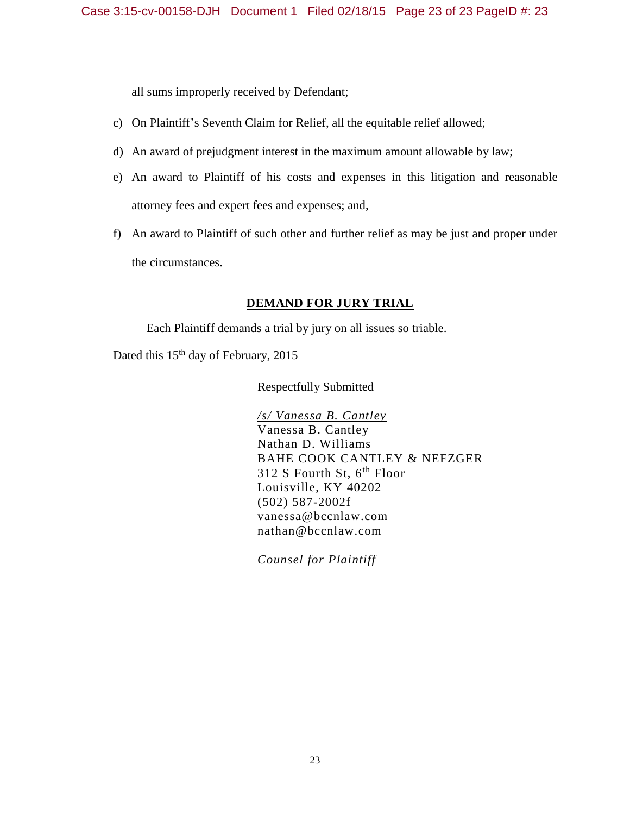all sums improperly received by Defendant;

- c) On Plaintiff's Seventh Claim for Relief, all the equitable relief allowed;
- d) An award of prejudgment interest in the maximum amount allowable by law;
- e) An award to Plaintiff of his costs and expenses in this litigation and reasonable attorney fees and expert fees and expenses; and,
- f) An award to Plaintiff of such other and further relief as may be just and proper under the circumstances.

## **DEMAND FOR JURY TRIAL**

Each Plaintiff demands a trial by jury on all issues so triable.

Dated this 15<sup>th</sup> day of February, 2015

Respectfully Submitted

*/s/ Vanessa B. Cantley* Vanessa B. Cantley Nathan D. Williams BAHE COOK CANTLEY & NEFZGER 312 S Fourth St,  $6^{th}$  Floor Louisville, KY 40202 (502) 587-2002f [vanessa@bccnlaw.com](mailto:vanessa@bccnlaw.com) [nathan@bccnlaw.com](mailto:nathan@bccnlaw.com)

*Counsel for Plaintiff*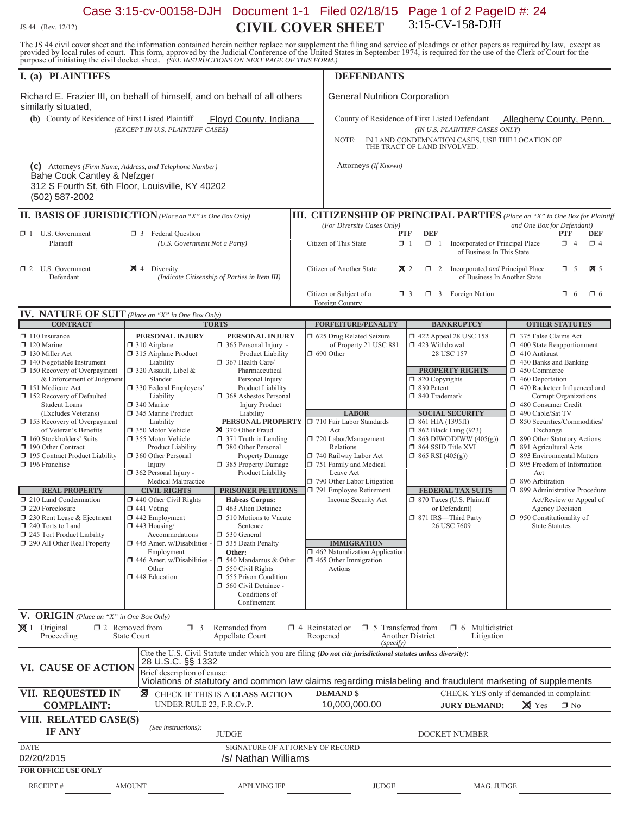#### IS 44 (Rev. 12/12) **CIVIL COVER SHEET** Case 3:15-cv-00158-DJH Document 1-1 Filed 02/18/15 Page 1 of 2 PageID #: 24 3:15-CV-158-DJH

The JS 44 civil cover sheet and the information contained herein neither replace nor supplement the filing and service of pleadings or other papers as required by law, except as provided by local rules of court. This form,

| purpose of initiating the civil docket sheet. (SEE INSTRUCTIONS ON NEAT PAGE OF THIS PORM.)                                                                                                                                                                                                                                                                                                                                                                                                                                                                                                                                                             |                                                                                                                                                                                                                                                                                                                                                                                                                                                                                                                                                                                                                                     |                                                                                                                                                                                                                                                                                                                                                                                                                                                                                                                                                                                                                                                              |                        |                                                                                                                                                                                                                                                                                                                                                                                                                                   |                                                                                                                                                          |                                                                                                                                                                                                                                                                                      |                                                                                                                                                                                                                                                                                                                                                                                                                                                                                                                                                                                                                                   |                           |
|---------------------------------------------------------------------------------------------------------------------------------------------------------------------------------------------------------------------------------------------------------------------------------------------------------------------------------------------------------------------------------------------------------------------------------------------------------------------------------------------------------------------------------------------------------------------------------------------------------------------------------------------------------|-------------------------------------------------------------------------------------------------------------------------------------------------------------------------------------------------------------------------------------------------------------------------------------------------------------------------------------------------------------------------------------------------------------------------------------------------------------------------------------------------------------------------------------------------------------------------------------------------------------------------------------|--------------------------------------------------------------------------------------------------------------------------------------------------------------------------------------------------------------------------------------------------------------------------------------------------------------------------------------------------------------------------------------------------------------------------------------------------------------------------------------------------------------------------------------------------------------------------------------------------------------------------------------------------------------|------------------------|-----------------------------------------------------------------------------------------------------------------------------------------------------------------------------------------------------------------------------------------------------------------------------------------------------------------------------------------------------------------------------------------------------------------------------------|----------------------------------------------------------------------------------------------------------------------------------------------------------|--------------------------------------------------------------------------------------------------------------------------------------------------------------------------------------------------------------------------------------------------------------------------------------|-----------------------------------------------------------------------------------------------------------------------------------------------------------------------------------------------------------------------------------------------------------------------------------------------------------------------------------------------------------------------------------------------------------------------------------------------------------------------------------------------------------------------------------------------------------------------------------------------------------------------------------|---------------------------|
| I. (a) PLAINTIFFS                                                                                                                                                                                                                                                                                                                                                                                                                                                                                                                                                                                                                                       |                                                                                                                                                                                                                                                                                                                                                                                                                                                                                                                                                                                                                                     |                                                                                                                                                                                                                                                                                                                                                                                                                                                                                                                                                                                                                                                              |                        | <b>DEFENDANTS</b>                                                                                                                                                                                                                                                                                                                                                                                                                 |                                                                                                                                                          |                                                                                                                                                                                                                                                                                      |                                                                                                                                                                                                                                                                                                                                                                                                                                                                                                                                                                                                                                   |                           |
| Richard E. Frazier III, on behalf of himself, and on behalf of all others<br>similarly situated,<br>(b) County of Residence of First Listed Plaintiff<br>Floyd County, Indiana<br>(EXCEPT IN U.S. PLAINTIFF CASES)                                                                                                                                                                                                                                                                                                                                                                                                                                      |                                                                                                                                                                                                                                                                                                                                                                                                                                                                                                                                                                                                                                     |                                                                                                                                                                                                                                                                                                                                                                                                                                                                                                                                                                                                                                                              |                        | <b>General Nutrition Corporation</b><br>County of Residence of First Listed Defendant<br>Allegheny County, Penn.<br>(IN U.S. PLAINTIFF CASES ONLY)<br>IN LAND CONDEMNATION CASES, USE THE LOCATION OF<br>NOTE:                                                                                                                                                                                                                    |                                                                                                                                                          |                                                                                                                                                                                                                                                                                      |                                                                                                                                                                                                                                                                                                                                                                                                                                                                                                                                                                                                                                   |                           |
|                                                                                                                                                                                                                                                                                                                                                                                                                                                                                                                                                                                                                                                         |                                                                                                                                                                                                                                                                                                                                                                                                                                                                                                                                                                                                                                     |                                                                                                                                                                                                                                                                                                                                                                                                                                                                                                                                                                                                                                                              |                        |                                                                                                                                                                                                                                                                                                                                                                                                                                   | THE TRACT OF LAND INVOLVED.                                                                                                                              |                                                                                                                                                                                                                                                                                      |                                                                                                                                                                                                                                                                                                                                                                                                                                                                                                                                                                                                                                   |                           |
| (c) Attorneys (Firm Name, Address, and Telephone Number)<br>Bahe Cook Cantley & Nefzger<br>312 S Fourth St, 6th Floor, Louisville, KY 40202<br>(502) 587-2002                                                                                                                                                                                                                                                                                                                                                                                                                                                                                           |                                                                                                                                                                                                                                                                                                                                                                                                                                                                                                                                                                                                                                     |                                                                                                                                                                                                                                                                                                                                                                                                                                                                                                                                                                                                                                                              |                        | Attorneys (If Known)                                                                                                                                                                                                                                                                                                                                                                                                              |                                                                                                                                                          |                                                                                                                                                                                                                                                                                      |                                                                                                                                                                                                                                                                                                                                                                                                                                                                                                                                                                                                                                   |                           |
| <b>II. BASIS OF JURISDICTION</b> (Place an "X" in One Box Only)                                                                                                                                                                                                                                                                                                                                                                                                                                                                                                                                                                                         |                                                                                                                                                                                                                                                                                                                                                                                                                                                                                                                                                                                                                                     |                                                                                                                                                                                                                                                                                                                                                                                                                                                                                                                                                                                                                                                              |                        |                                                                                                                                                                                                                                                                                                                                                                                                                                   |                                                                                                                                                          |                                                                                                                                                                                                                                                                                      | <b>III. CITIZENSHIP OF PRINCIPAL PARTIES</b> (Place an "X" in One Box for Plaintiff                                                                                                                                                                                                                                                                                                                                                                                                                                                                                                                                               |                           |
| $\Box$ 1 U.S. Government                                                                                                                                                                                                                                                                                                                                                                                                                                                                                                                                                                                                                                | <b>1</b> 3 Federal Question                                                                                                                                                                                                                                                                                                                                                                                                                                                                                                                                                                                                         |                                                                                                                                                                                                                                                                                                                                                                                                                                                                                                                                                                                                                                                              |                        | (For Diversity Cases Only)                                                                                                                                                                                                                                                                                                                                                                                                        | <b>PTF</b><br><b>DEF</b>                                                                                                                                 |                                                                                                                                                                                                                                                                                      | and One Box for Defendant)<br><b>PTF</b>                                                                                                                                                                                                                                                                                                                                                                                                                                                                                                                                                                                          | <b>DEF</b>                |
| Plaintiff<br>(U.S. Government Not a Party)                                                                                                                                                                                                                                                                                                                                                                                                                                                                                                                                                                                                              |                                                                                                                                                                                                                                                                                                                                                                                                                                                                                                                                                                                                                                     |                                                                                                                                                                                                                                                                                                                                                                                                                                                                                                                                                                                                                                                              |                        | Citizen of This State                                                                                                                                                                                                                                                                                                                                                                                                             | $\Box$ 1<br>$\Box$ 1                                                                                                                                     | Incorporated or Principal Place<br>of Business In This State                                                                                                                                                                                                                         | $\Box$ 4                                                                                                                                                                                                                                                                                                                                                                                                                                                                                                                                                                                                                          | $\Box$ 4                  |
| $\Box$ 2 U.S. Government<br>Defendant                                                                                                                                                                                                                                                                                                                                                                                                                                                                                                                                                                                                                   | $\boxtimes$ 4 Diversity<br>(Indicate Citizenship of Parties in Item III)                                                                                                                                                                                                                                                                                                                                                                                                                                                                                                                                                            |                                                                                                                                                                                                                                                                                                                                                                                                                                                                                                                                                                                                                                                              |                        | Citizen of Another State                                                                                                                                                                                                                                                                                                                                                                                                          | $\mathbf{X}$ 2<br>$\Box$ 2                                                                                                                               | Incorporated and Principal Place<br>of Business In Another State                                                                                                                                                                                                                     | $\Box$ 5                                                                                                                                                                                                                                                                                                                                                                                                                                                                                                                                                                                                                          | $\overline{\mathbf{X}}$ 5 |
|                                                                                                                                                                                                                                                                                                                                                                                                                                                                                                                                                                                                                                                         |                                                                                                                                                                                                                                                                                                                                                                                                                                                                                                                                                                                                                                     |                                                                                                                                                                                                                                                                                                                                                                                                                                                                                                                                                                                                                                                              |                        | Citizen or Subject of a<br>Foreign Country                                                                                                                                                                                                                                                                                                                                                                                        | $\Box$ 3                                                                                                                                                 | $\Box$ 3 Foreign Nation                                                                                                                                                                                                                                                              | $\Box$ 6                                                                                                                                                                                                                                                                                                                                                                                                                                                                                                                                                                                                                          | $\Box$ 6                  |
| <b>IV. NATURE OF SUIT</b> (Place an "X" in One Box Only)<br><b>CONTRACT</b>                                                                                                                                                                                                                                                                                                                                                                                                                                                                                                                                                                             |                                                                                                                                                                                                                                                                                                                                                                                                                                                                                                                                                                                                                                     | <b>TORTS</b>                                                                                                                                                                                                                                                                                                                                                                                                                                                                                                                                                                                                                                                 |                        | <b>FORFEITURE/PENALTY</b>                                                                                                                                                                                                                                                                                                                                                                                                         |                                                                                                                                                          | <b>BANKRUPTCY</b>                                                                                                                                                                                                                                                                    | <b>OTHER STATUTES</b>                                                                                                                                                                                                                                                                                                                                                                                                                                                                                                                                                                                                             |                           |
| $\Box$ 110 Insurance<br>$\Box$ 120 Marine<br>$\Box$ 130 Miller Act<br>140 Negotiable Instrument<br>$\Box$ 150 Recovery of Overpayment<br>& Enforcement of Judgment<br>151 Medicare Act<br>$\Box$ 152 Recovery of Defaulted<br><b>Student Loans</b><br>(Excludes Veterans)<br>$\Box$ 153 Recovery of Overpayment<br>of Veteran's Benefits<br>$\Box$ 160 Stockholders' Suits<br>190 Other Contract<br>195 Contract Product Liability<br>$\Box$ 196 Franchise<br><b>REAL PROPERTY</b><br>210 Land Condemnation<br>220 Foreclosure<br>$\Box$ 230 Rent Lease & Ejectment<br>240 Torts to Land<br>245 Tort Product Liability<br>□ 290 All Other Real Property | PERSONAL INJURY<br>$\Box$ 310 Airplane<br>315 Airplane Product<br>Liability<br>□ 320 Assault, Libel &<br>Slander<br>1330 Federal Employers'<br>Liability<br>340 Marine<br>345 Marine Product<br>Liability<br>□ 350 Motor Vehicle<br>355 Motor Vehicle<br><b>Product Liability</b><br>360 Other Personal<br>Injury<br>362 Personal Injury -<br>Medical Malpractice<br><b>CIVIL RIGHTS</b><br>$\Box$ 440 Other Civil Rights<br>$\square$ 441 Voting<br>□ 442 Employment<br>$\Box$ 443 Housing/<br>Accommodations<br>$\square$ 445 Amer. w/Disabilities -<br>Employment<br>$\Box$ 446 Amer. w/Disabilities -<br>Other<br>448 Education | PERSONAL INJURY<br>365 Personal Injury -<br>Product Liability<br>367 Health Care/<br>Pharmaceutical<br>Personal Injury<br>Product Liability<br><b>1</b> 368 Asbestos Personal<br><b>Injury Product</b><br>Liability<br>PERSONAL PROPERTY<br>370 Other Fraud<br>$\Box$ 371 Truth in Lending<br>380 Other Personal<br>Property Damage<br>1385 Property Damage<br>Product Liability<br>PRISONER PETITIONS<br><b>Habeas Corpus:</b><br>1463 Alien Detainee<br>$\Box$ 510 Motions to Vacate<br>Sentence<br>530 General<br>□ 535 Death Penalty<br>Other:<br>$\Box$ 540 Mandamus & Other<br>$\Box$ 550 Civil Rights<br>555 Prison Condition<br>560 Civil Detainee - |                        | <b>1 625 Drug Related Seizure</b><br>of Property 21 USC 881<br>$\Box$ 690 Other<br><b>LABOR</b><br>710 Fair Labor Standards<br>Act<br>720 Labor/Management<br>Relations<br>740 Railway Labor Act<br>751 Family and Medical<br>Leave Act<br>790 Other Labor Litigation<br>791 Employee Retirement<br>Income Security Act<br><b>IMMIGRATION</b><br>$\Box$ 462 Naturalization Application<br>$\Box$ 465 Other Immigration<br>Actions | 423 Withdrawal<br>$\Box$ 820 Copyrights<br>□ 830 Patent<br>□ 840 Trademark<br>$\Box$ 861 HIA (1395ff)<br>□ 864 SSID Title XVI<br>$\Box$ 865 RSI (405(g)) | $\Box$ 422 Appeal 28 USC 158<br>28 USC 157<br><b>PROPERTY RIGHTS</b><br><b>SOCIAL SECURITY</b><br><b>1 862 Black Lung (923)</b><br>$\Box$ 863 DIWC/DIWW (405(g))<br><b>FEDERAL TAX SUITS</b><br>□ 870 Taxes (U.S. Plaintiff<br>or Defendant)<br>□ 871 IRS-Third Party<br>26 USC 7609 | 375 False Claims Act<br>400 State Reapportionment<br>$\Box$ 410 Antitrust<br>$\Box$ 430 Banks and Banking<br>$\Box$ 450 Commerce<br>$\Box$ 460 Deportation<br>1 470 Racketeer Influenced and<br>Corrupt Organizations<br>480 Consumer Credit<br>490 Cable/Sat TV<br>□ 850 Securities/Commodities/<br>Exchange<br>1 890 Other Statutory Actions<br>□ 891 Agricultural Acts<br>5 893 Environmental Matters<br>$\Box$ 895 Freedom of Information<br>Act<br>$\Box$ 896 Arbitration<br>□ 899 Administrative Procedure<br>Act/Review or Appeal of<br><b>Agency Decision</b><br>$\Box$ 950 Constitutionality of<br><b>State Statutes</b> |                           |
| V. ORIGIN (Place an "X" in One Box Only)<br>$\boxtimes$ 1 Original<br>Proceeding                                                                                                                                                                                                                                                                                                                                                                                                                                                                                                                                                                        | $\Box$ 2 Removed from<br>$\Box$ 3<br><b>State Court</b>                                                                                                                                                                                                                                                                                                                                                                                                                                                                                                                                                                             | Confinement<br>Remanded from<br>Appellate Court                                                                                                                                                                                                                                                                                                                                                                                                                                                                                                                                                                                                              | $\Box$ 4 Reinstated or | $\Box$ 5 Transferred from<br>Reopened<br>(specify)<br>Cite the U.S. Civil Statute under which you are filing (Do not cite jurisdictional statutes unless diversity):                                                                                                                                                                                                                                                              | Another District                                                                                                                                         | $\Box$ 6 Multidistrict<br>Litigation                                                                                                                                                                                                                                                 |                                                                                                                                                                                                                                                                                                                                                                                                                                                                                                                                                                                                                                   |                           |
| VI. CAUSE OF ACTION                                                                                                                                                                                                                                                                                                                                                                                                                                                                                                                                                                                                                                     | 28 U.S.C. §§ 1332<br>Brief description of cause:                                                                                                                                                                                                                                                                                                                                                                                                                                                                                                                                                                                    |                                                                                                                                                                                                                                                                                                                                                                                                                                                                                                                                                                                                                                                              |                        |                                                                                                                                                                                                                                                                                                                                                                                                                                   |                                                                                                                                                          |                                                                                                                                                                                                                                                                                      | Violations of statutory and common law claims regarding mislabeling and fraudulent marketing of supplements                                                                                                                                                                                                                                                                                                                                                                                                                                                                                                                       |                           |
| VII. REQUESTED IN<br>⊠<br>CHECK IF THIS IS A CLASS ACTION<br>UNDER RULE 23, F.R.Cv.P.<br><b>COMPLAINT:</b>                                                                                                                                                                                                                                                                                                                                                                                                                                                                                                                                              |                                                                                                                                                                                                                                                                                                                                                                                                                                                                                                                                                                                                                                     |                                                                                                                                                                                                                                                                                                                                                                                                                                                                                                                                                                                                                                                              |                        | CHECK YES only if demanded in complaint:<br><b>DEMAND \$</b><br>10,000,000.00<br>$\times$ Yes<br>$\square$ No<br><b>JURY DEMAND:</b>                                                                                                                                                                                                                                                                                              |                                                                                                                                                          |                                                                                                                                                                                                                                                                                      |                                                                                                                                                                                                                                                                                                                                                                                                                                                                                                                                                                                                                                   |                           |
| VIII. RELATED CASE(S)<br><b>IF ANY</b>                                                                                                                                                                                                                                                                                                                                                                                                                                                                                                                                                                                                                  | (See instructions):                                                                                                                                                                                                                                                                                                                                                                                                                                                                                                                                                                                                                 | JUDGE                                                                                                                                                                                                                                                                                                                                                                                                                                                                                                                                                                                                                                                        |                        |                                                                                                                                                                                                                                                                                                                                                                                                                                   |                                                                                                                                                          | DOCKET NUMBER                                                                                                                                                                                                                                                                        |                                                                                                                                                                                                                                                                                                                                                                                                                                                                                                                                                                                                                                   |                           |
| <b>DATE</b><br>02/20/2015                                                                                                                                                                                                                                                                                                                                                                                                                                                                                                                                                                                                                               |                                                                                                                                                                                                                                                                                                                                                                                                                                                                                                                                                                                                                                     | SIGNATURE OF ATTORNEY OF RECORD<br>/s/ Nathan Williams                                                                                                                                                                                                                                                                                                                                                                                                                                                                                                                                                                                                       |                        |                                                                                                                                                                                                                                                                                                                                                                                                                                   |                                                                                                                                                          |                                                                                                                                                                                                                                                                                      |                                                                                                                                                                                                                                                                                                                                                                                                                                                                                                                                                                                                                                   |                           |
| <b>FOR OFFICE USE ONLY</b><br>RECEIPT#                                                                                                                                                                                                                                                                                                                                                                                                                                                                                                                                                                                                                  | <b>AMOUNT</b>                                                                                                                                                                                                                                                                                                                                                                                                                                                                                                                                                                                                                       | <b>APPLYING IFP</b>                                                                                                                                                                                                                                                                                                                                                                                                                                                                                                                                                                                                                                          |                        | <b>JUDGE</b>                                                                                                                                                                                                                                                                                                                                                                                                                      |                                                                                                                                                          | MAG. JUDGE                                                                                                                                                                                                                                                                           |                                                                                                                                                                                                                                                                                                                                                                                                                                                                                                                                                                                                                                   |                           |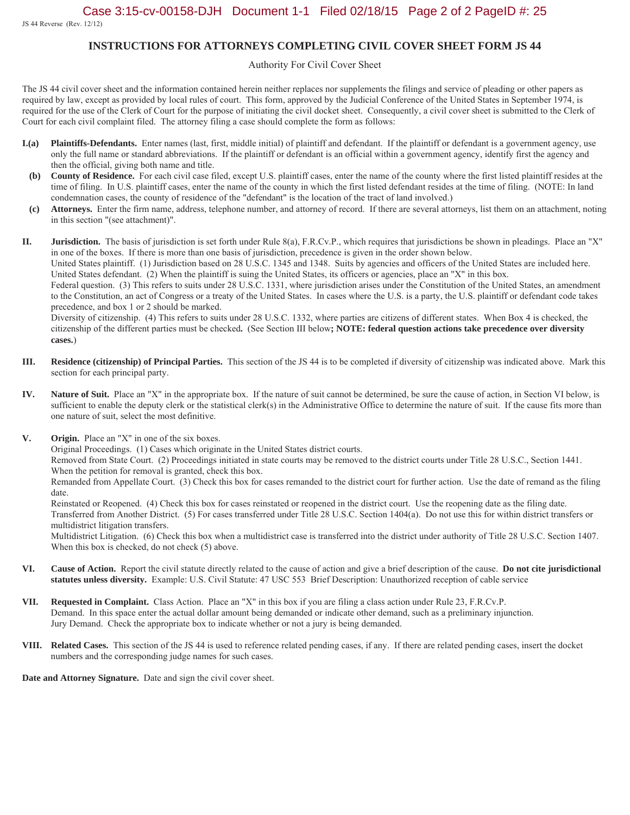#### **INSTRUCTIONS FOR ATTORNEYS COMPLETING CIVIL COVER SHEET FORM JS 44**

#### Authority For Civil Cover Sheet

The JS 44 civil cover sheet and the information contained herein neither replaces nor supplements the filings and service of pleading or other papers as required by law, except as provided by local rules of court. This form, approved by the Judicial Conference of the United States in September 1974, is required for the use of the Clerk of Court for the purpose of initiating the civil docket sheet. Consequently, a civil cover sheet is submitted to the Clerk of Court for each civil complaint filed. The attorney filing a case should complete the form as follows:

- **I.(a)** Plaintiffs-Defendants. Enter names (last, first, middle initial) of plaintiff and defendant. If the plaintiff or defendant is a government agency, use only the full name or standard abbreviations. If the plaintiff or defendant is an official within a government agency, identify first the agency and then the official, giving both name and title.
- (b) County of Residence. For each civil case filed, except U.S. plaintiff cases, enter the name of the county where the first listed plaintiff resides at the time of filing. In U.S. plaintiff cases, enter the name of the county in which the first listed defendant resides at the time of filing. (NOTE: In land condemnation cases, the county of residence of the "defendant" is the location of the tract of land involved.)
- (c) Attorneys. Enter the firm name, address, telephone number, and attorney of record. If there are several attorneys, list them on an attachment, noting in this section "(see attachment)".

**II.** Jurisdiction. The basis of jurisdiction is set forth under Rule 8(a), F.R.Cv.P., which requires that jurisdictions be shown in pleadings. Place an "X" in one of the boxes. If there is more than one basis of jurisdiction, precedence is given in the order shown below. United States plaintiff. (1) Jurisdiction based on 28 U.S.C. 1345 and 1348. Suits by agencies and officers of the United States are included here. United States defendant. (2) When the plaintiff is suing the United States, its officers or agencies, place an "X" in this box.

Federal question. (3) This refers to suits under 28 U.S.C. 1331, where jurisdiction arises under the Constitution of the United States, an amendment to the Constitution, an act of Congress or a treaty of the United States. In cases where the U.S. is a party, the U.S. plaintiff or defendant code takes precedence, and box 1 or 2 should be marked.

Diversity of citizenship. (4) This refers to suits under 28 U.S.C. 1332, where parties are citizens of different states. When Box 4 is checked, the citizenship of the different parties must be checked. (See Section III below; NOTE: federal question actions take precedence over diversity **cases.** 

- **III.** Residence (citizenship) of Principal Parties. This section of the JS 44 is to be completed if diversity of citizenship was indicated above. Mark this section for each principal party.
- **IV.** Nature of Suit. Place an "X" in the appropriate box. If the nature of suit cannot be determined, be sure the cause of action, in Section VI below, is sufficient to enable the deputy clerk or the statistical clerk(s) in the Administrative Office to determine the nature of suit. If the cause fits more than one nature of suit, select the most definitive.
- **V.** Origin. Place an "X" in one of the six boxes.

Original Proceedings. (1) Cases which originate in the United States district courts.

Removed from State Court. (2) Proceedings initiated in state courts may be removed to the district courts under Title 28 U.S.C., Section 1441. When the petition for removal is granted, check this box.

Remanded from Appellate Court. (3) Check this box for cases remanded to the district court for further action. Use the date of remand as the filing date

Reinstated or Reopened. (4) Check this box for cases reinstated or reopened in the district court. Use the reopening date as the filing date. Transferred from Another District. (5) For cases transferred under Title 28 U.S.C. Section 1404(a). Do not use this for within district transfers or multidistrict litigation transfers.

Multidistrict Litigation. (6) Check this box when a multidistrict case is transferred into the district under authority of Title 28 U.S.C. Section 1407. When this box is checked, do not check  $(5)$  above.

- VI. Cause of Action. Report the civil statute directly related to the cause of action and give a brief description of the cause. Do not cite jurisdictional statutes unless diversity. Example: U.S. Civil Statute: 47 USC 553 Brief Description: Unauthorized reception of cable service
- VII. Requested in Complaint. Class Action. Place an "X" in this box if you are filing a class action under Rule 23, F.R.Cv.P. Demand. In this space enter the actual dollar amount being demanded or indicate other demand, such as a preliminary injunction. Jury Demand. Check the appropriate box to indicate whether or not a jury is being demanded.
- VIII. Related Cases. This section of the JS 44 is used to reference related pending cases, if any. If there are related pending cases, insert the docket numbers and the corresponding judge names for such cases.

Date and Attorney Signature. Date and sign the civil cover sheet.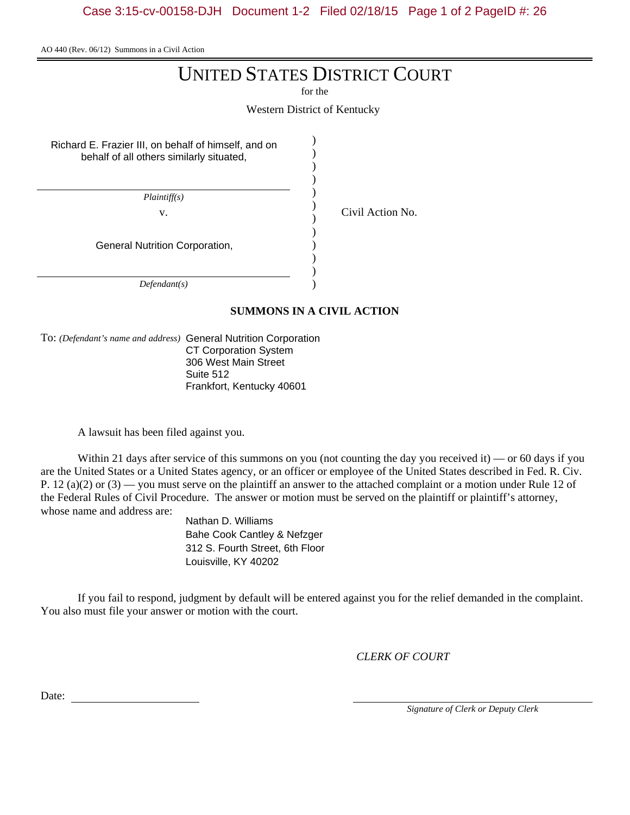AO 440 (Rev. 06/12) Summons in a Civil Action

# UNITED STATES DISTRICT COURT

for the

Western District of Kentucky

) ) ) ) ) ) ) ) ) ) ) )

Richard E. Frazier III, on behalf of himself, and on behalf of all others similarly situated,

*Plaintiff(s)*

v. Civil Action No.

General Nutrition Corporation,

*Defendant(s)*

#### **SUMMONS IN A CIVIL ACTION**

To: *(Defendant's name and address)* General Nutrition Corporation CT Corporation System 306 West Main Street Suite 512 Frankfort, Kentucky 40601

A lawsuit has been filed against you.

Within 21 days after service of this summons on you (not counting the day you received it) — or 60 days if you are the United States or a United States agency, or an officer or employee of the United States described in Fed. R. Civ. P. 12 (a)(2) or  $(3)$  — you must serve on the plaintiff an answer to the attached complaint or a motion under Rule 12 of the Federal Rules of Civil Procedure. The answer or motion must be served on the plaintiff or plaintiff's attorney, whose name and address are:

Nathan D. Williams Bahe Cook Cantley & Nefzger 312 S. Fourth Street, 6th Floor Louisville, KY 40202

If you fail to respond, judgment by default will be entered against you for the relief demanded in the complaint. You also must file your answer or motion with the court.

*CLERK OF COURT*

Date:

*Signature of Clerk or Deputy Clerk*